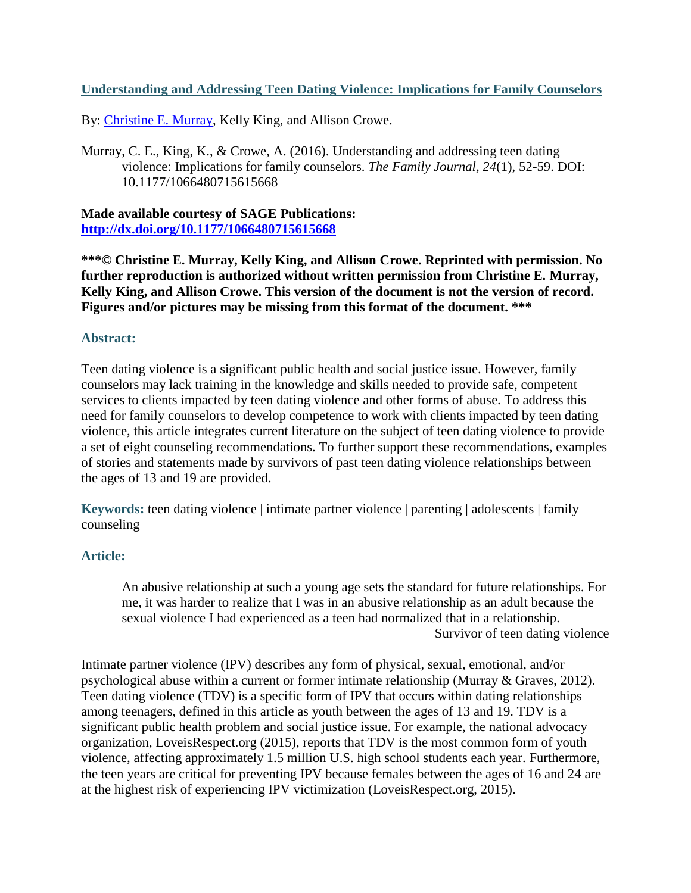## **Understanding and Addressing Teen Dating Violence: Implications for Family Counselors**

By: [Christine E. Murray,](https://libres.uncg.edu/ir/uncg/clist.aspx?id=894) Kelly King, and Allison Crowe.

Murray, C. E., King, K., & Crowe, A. (2016). Understanding and addressing teen dating violence: Implications for family counselors. *The Family Journal, 24*(1), 52-59. DOI: 10.1177/1066480715615668

**Made available courtesy of SAGE Publications: <http://dx.doi.org/10.1177/1066480715615668>**

**\*\*\*© Christine E. Murray, Kelly King, and Allison Crowe. Reprinted with permission. No further reproduction is authorized without written permission from Christine E. Murray, Kelly King, and Allison Crowe. This version of the document is not the version of record. Figures and/or pictures may be missing from this format of the document. \*\*\***

#### **Abstract:**

Teen dating violence is a significant public health and social justice issue. However, family counselors may lack training in the knowledge and skills needed to provide safe, competent services to clients impacted by teen dating violence and other forms of abuse. To address this need for family counselors to develop competence to work with clients impacted by teen dating violence, this article integrates current literature on the subject of teen dating violence to provide a set of eight counseling recommendations. To further support these recommendations, examples of stories and statements made by survivors of past teen dating violence relationships between the ages of 13 and 19 are provided.

**Keywords:** teen dating violence | intimate partner violence | parenting | adolescents | family counseling

## **Article:**

An abusive relationship at such a young age sets the standard for future relationships. For me, it was harder to realize that I was in an abusive relationship as an adult because the sexual violence I had experienced as a teen had normalized that in a relationship. Survivor of teen dating violence

Intimate partner violence (IPV) describes any form of physical, sexual, emotional, and/or psychological abuse within a current or former intimate relationship (Murray & Graves, 2012). Teen dating violence (TDV) is a specific form of IPV that occurs within dating relationships among teenagers, defined in this article as youth between the ages of 13 and 19. TDV is a significant public health problem and social justice issue. For example, the national advocacy organization, LoveisRespect.org (2015), reports that TDV is the most common form of youth violence, affecting approximately 1.5 million U.S. high school students each year. Furthermore, the teen years are critical for preventing IPV because females between the ages of 16 and 24 are at the highest risk of experiencing IPV victimization (LoveisRespect.org, 2015).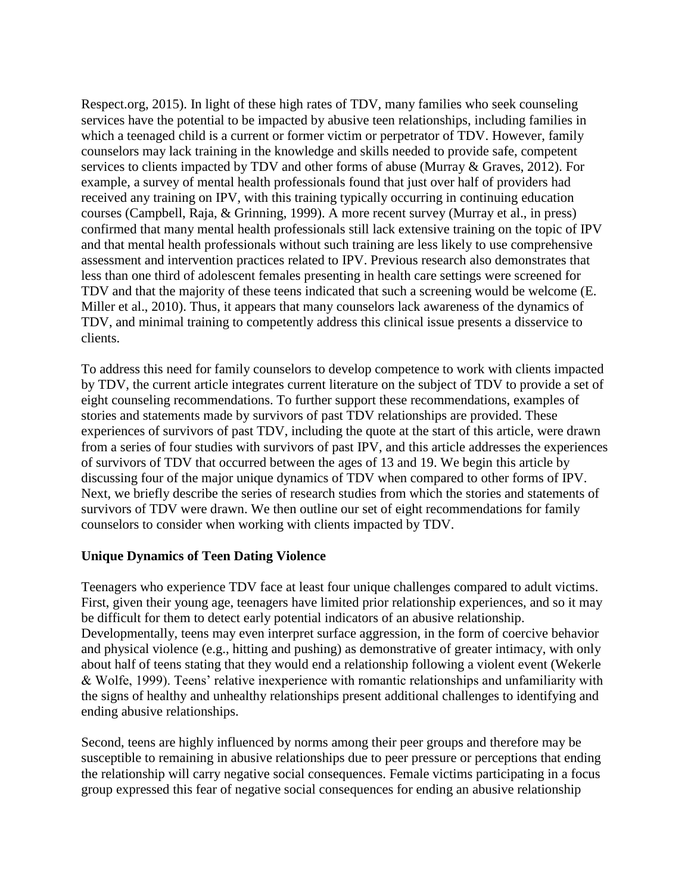Respect.org, 2015). In light of these high rates of TDV, many families who seek counseling services have the potential to be impacted by abusive teen relationships, including families in which a teenaged child is a current or former victim or perpetrator of TDV. However, family counselors may lack training in the knowledge and skills needed to provide safe, competent services to clients impacted by TDV and other forms of abuse (Murray & Graves, 2012). For example, a survey of mental health professionals found that just over half of providers had received any training on IPV, with this training typically occurring in continuing education courses (Campbell, Raja, & Grinning, 1999). A more recent survey (Murray et al., in press) confirmed that many mental health professionals still lack extensive training on the topic of IPV and that mental health professionals without such training are less likely to use comprehensive assessment and intervention practices related to IPV. Previous research also demonstrates that less than one third of adolescent females presenting in health care settings were screened for TDV and that the majority of these teens indicated that such a screening would be welcome (E. Miller et al., 2010). Thus, it appears that many counselors lack awareness of the dynamics of TDV, and minimal training to competently address this clinical issue presents a disservice to clients.

To address this need for family counselors to develop competence to work with clients impacted by TDV, the current article integrates current literature on the subject of TDV to provide a set of eight counseling recommendations. To further support these recommendations, examples of stories and statements made by survivors of past TDV relationships are provided. These experiences of survivors of past TDV, including the quote at the start of this article, were drawn from a series of four studies with survivors of past IPV, and this article addresses the experiences of survivors of TDV that occurred between the ages of 13 and 19. We begin this article by discussing four of the major unique dynamics of TDV when compared to other forms of IPV. Next, we briefly describe the series of research studies from which the stories and statements of survivors of TDV were drawn. We then outline our set of eight recommendations for family counselors to consider when working with clients impacted by TDV.

#### **Unique Dynamics of Teen Dating Violence**

Teenagers who experience TDV face at least four unique challenges compared to adult victims. First, given their young age, teenagers have limited prior relationship experiences, and so it may be difficult for them to detect early potential indicators of an abusive relationship. Developmentally, teens may even interpret surface aggression, in the form of coercive behavior and physical violence (e.g., hitting and pushing) as demonstrative of greater intimacy, with only about half of teens stating that they would end a relationship following a violent event (Wekerle & Wolfe, 1999). Teens' relative inexperience with romantic relationships and unfamiliarity with the signs of healthy and unhealthy relationships present additional challenges to identifying and ending abusive relationships.

Second, teens are highly influenced by norms among their peer groups and therefore may be susceptible to remaining in abusive relationships due to peer pressure or perceptions that ending the relationship will carry negative social consequences. Female victims participating in a focus group expressed this fear of negative social consequences for ending an abusive relationship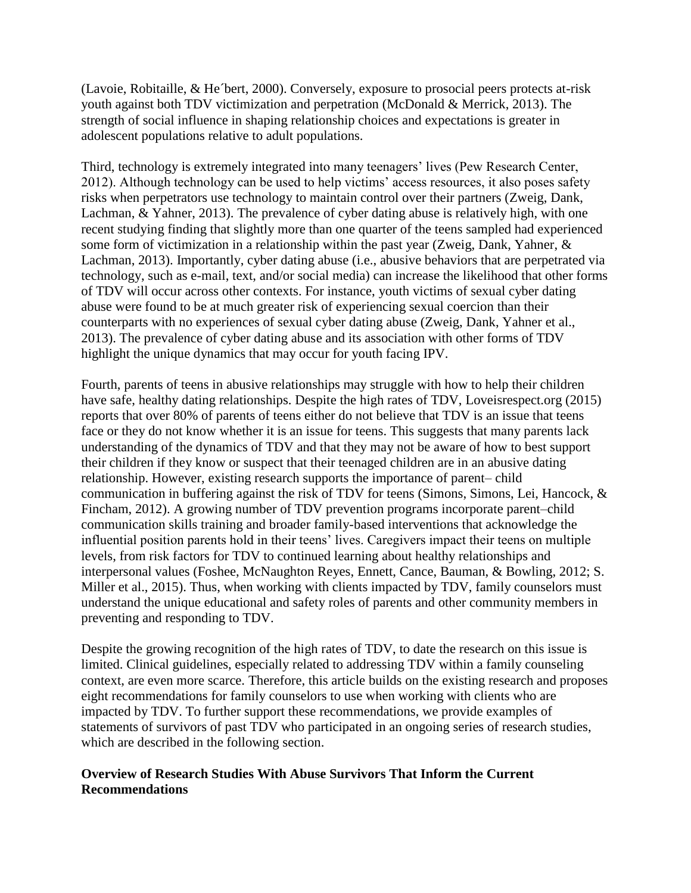(Lavoie, Robitaille, & He´bert, 2000). Conversely, exposure to prosocial peers protects at-risk youth against both TDV victimization and perpetration (McDonald & Merrick, 2013). The strength of social influence in shaping relationship choices and expectations is greater in adolescent populations relative to adult populations.

Third, technology is extremely integrated into many teenagers' lives (Pew Research Center, 2012). Although technology can be used to help victims' access resources, it also poses safety risks when perpetrators use technology to maintain control over their partners (Zweig, Dank, Lachman, & Yahner, 2013). The prevalence of cyber dating abuse is relatively high, with one recent studying finding that slightly more than one quarter of the teens sampled had experienced some form of victimization in a relationship within the past year (Zweig, Dank, Yahner, & Lachman, 2013). Importantly, cyber dating abuse (i.e., abusive behaviors that are perpetrated via technology, such as e-mail, text, and/or social media) can increase the likelihood that other forms of TDV will occur across other contexts. For instance, youth victims of sexual cyber dating abuse were found to be at much greater risk of experiencing sexual coercion than their counterparts with no experiences of sexual cyber dating abuse (Zweig, Dank, Yahner et al., 2013). The prevalence of cyber dating abuse and its association with other forms of TDV highlight the unique dynamics that may occur for youth facing IPV.

Fourth, parents of teens in abusive relationships may struggle with how to help their children have safe, healthy dating relationships. Despite the high rates of TDV, Loveisrespect.org (2015) reports that over 80% of parents of teens either do not believe that TDV is an issue that teens face or they do not know whether it is an issue for teens. This suggests that many parents lack understanding of the dynamics of TDV and that they may not be aware of how to best support their children if they know or suspect that their teenaged children are in an abusive dating relationship. However, existing research supports the importance of parent– child communication in buffering against the risk of TDV for teens (Simons, Simons, Lei, Hancock, & Fincham, 2012). A growing number of TDV prevention programs incorporate parent–child communication skills training and broader family-based interventions that acknowledge the influential position parents hold in their teens' lives. Caregivers impact their teens on multiple levels, from risk factors for TDV to continued learning about healthy relationships and interpersonal values (Foshee, McNaughton Reyes, Ennett, Cance, Bauman, & Bowling, 2012; S. Miller et al., 2015). Thus, when working with clients impacted by TDV, family counselors must understand the unique educational and safety roles of parents and other community members in preventing and responding to TDV.

Despite the growing recognition of the high rates of TDV, to date the research on this issue is limited. Clinical guidelines, especially related to addressing TDV within a family counseling context, are even more scarce. Therefore, this article builds on the existing research and proposes eight recommendations for family counselors to use when working with clients who are impacted by TDV. To further support these recommendations, we provide examples of statements of survivors of past TDV who participated in an ongoing series of research studies, which are described in the following section.

## **Overview of Research Studies With Abuse Survivors That Inform the Current Recommendations**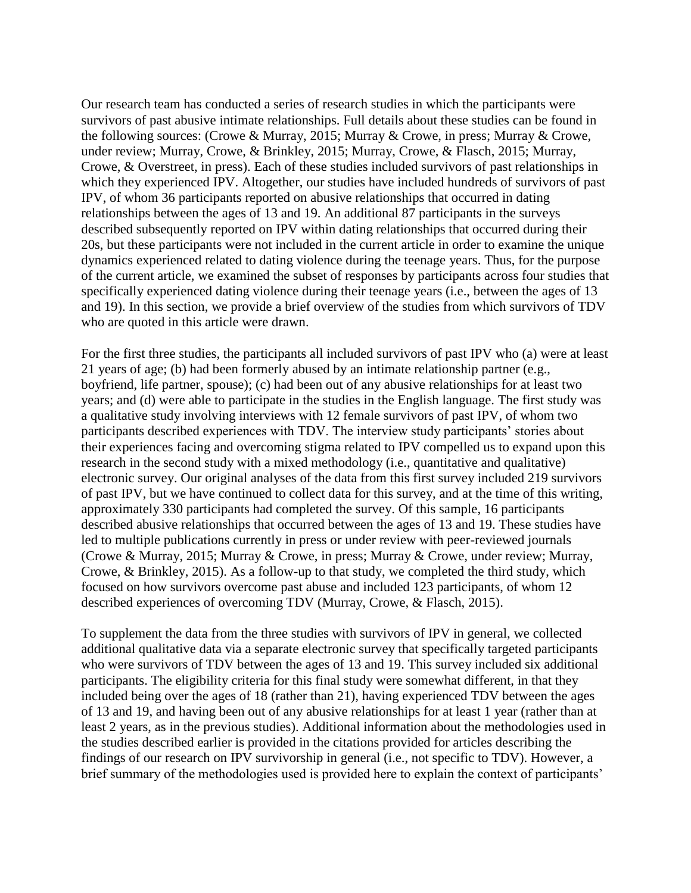Our research team has conducted a series of research studies in which the participants were survivors of past abusive intimate relationships. Full details about these studies can be found in the following sources: (Crowe & Murray, 2015; Murray & Crowe, in press; Murray & Crowe, under review; Murray, Crowe, & Brinkley, 2015; Murray, Crowe, & Flasch, 2015; Murray, Crowe, & Overstreet, in press). Each of these studies included survivors of past relationships in which they experienced IPV. Altogether, our studies have included hundreds of survivors of past IPV, of whom 36 participants reported on abusive relationships that occurred in dating relationships between the ages of 13 and 19. An additional 87 participants in the surveys described subsequently reported on IPV within dating relationships that occurred during their 20s, but these participants were not included in the current article in order to examine the unique dynamics experienced related to dating violence during the teenage years. Thus, for the purpose of the current article, we examined the subset of responses by participants across four studies that specifically experienced dating violence during their teenage years (i.e., between the ages of 13 and 19). In this section, we provide a brief overview of the studies from which survivors of TDV who are quoted in this article were drawn.

For the first three studies, the participants all included survivors of past IPV who (a) were at least 21 years of age; (b) had been formerly abused by an intimate relationship partner (e.g., boyfriend, life partner, spouse); (c) had been out of any abusive relationships for at least two years; and (d) were able to participate in the studies in the English language. The first study was a qualitative study involving interviews with 12 female survivors of past IPV, of whom two participants described experiences with TDV. The interview study participants' stories about their experiences facing and overcoming stigma related to IPV compelled us to expand upon this research in the second study with a mixed methodology (i.e., quantitative and qualitative) electronic survey. Our original analyses of the data from this first survey included 219 survivors of past IPV, but we have continued to collect data for this survey, and at the time of this writing, approximately 330 participants had completed the survey. Of this sample, 16 participants described abusive relationships that occurred between the ages of 13 and 19. These studies have led to multiple publications currently in press or under review with peer-reviewed journals (Crowe & Murray, 2015; Murray & Crowe, in press; Murray & Crowe, under review; Murray, Crowe, & Brinkley, 2015). As a follow-up to that study, we completed the third study, which focused on how survivors overcome past abuse and included 123 participants, of whom 12 described experiences of overcoming TDV (Murray, Crowe, & Flasch, 2015).

To supplement the data from the three studies with survivors of IPV in general, we collected additional qualitative data via a separate electronic survey that specifically targeted participants who were survivors of TDV between the ages of 13 and 19. This survey included six additional participants. The eligibility criteria for this final study were somewhat different, in that they included being over the ages of 18 (rather than 21), having experienced TDV between the ages of 13 and 19, and having been out of any abusive relationships for at least 1 year (rather than at least 2 years, as in the previous studies). Additional information about the methodologies used in the studies described earlier is provided in the citations provided for articles describing the findings of our research on IPV survivorship in general (i.e., not specific to TDV). However, a brief summary of the methodologies used is provided here to explain the context of participants'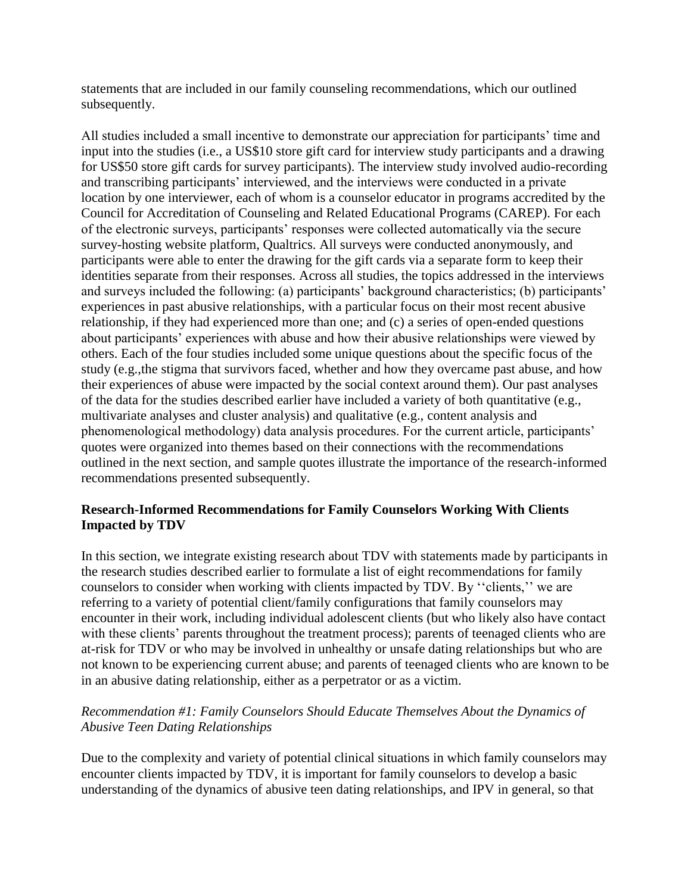statements that are included in our family counseling recommendations, which our outlined subsequently.

All studies included a small incentive to demonstrate our appreciation for participants' time and input into the studies (i.e., a US\$10 store gift card for interview study participants and a drawing for US\$50 store gift cards for survey participants). The interview study involved audio-recording and transcribing participants' interviewed, and the interviews were conducted in a private location by one interviewer, each of whom is a counselor educator in programs accredited by the Council for Accreditation of Counseling and Related Educational Programs (CAREP). For each of the electronic surveys, participants' responses were collected automatically via the secure survey-hosting website platform, Qualtrics. All surveys were conducted anonymously, and participants were able to enter the drawing for the gift cards via a separate form to keep their identities separate from their responses. Across all studies, the topics addressed in the interviews and surveys included the following: (a) participants' background characteristics; (b) participants' experiences in past abusive relationships, with a particular focus on their most recent abusive relationship, if they had experienced more than one; and (c) a series of open-ended questions about participants' experiences with abuse and how their abusive relationships were viewed by others. Each of the four studies included some unique questions about the specific focus of the study (e.g.,the stigma that survivors faced, whether and how they overcame past abuse, and how their experiences of abuse were impacted by the social context around them). Our past analyses of the data for the studies described earlier have included a variety of both quantitative (e.g., multivariate analyses and cluster analysis) and qualitative (e.g., content analysis and phenomenological methodology) data analysis procedures. For the current article, participants' quotes were organized into themes based on their connections with the recommendations outlined in the next section, and sample quotes illustrate the importance of the research-informed recommendations presented subsequently.

#### **Research-Informed Recommendations for Family Counselors Working With Clients Impacted by TDV**

In this section, we integrate existing research about TDV with statements made by participants in the research studies described earlier to formulate a list of eight recommendations for family counselors to consider when working with clients impacted by TDV. By ''clients,'' we are referring to a variety of potential client/family configurations that family counselors may encounter in their work, including individual adolescent clients (but who likely also have contact with these clients' parents throughout the treatment process); parents of teenaged clients who are at-risk for TDV or who may be involved in unhealthy or unsafe dating relationships but who are not known to be experiencing current abuse; and parents of teenaged clients who are known to be in an abusive dating relationship, either as a perpetrator or as a victim.

## *Recommendation #1: Family Counselors Should Educate Themselves About the Dynamics of Abusive Teen Dating Relationships*

Due to the complexity and variety of potential clinical situations in which family counselors may encounter clients impacted by TDV, it is important for family counselors to develop a basic understanding of the dynamics of abusive teen dating relationships, and IPV in general, so that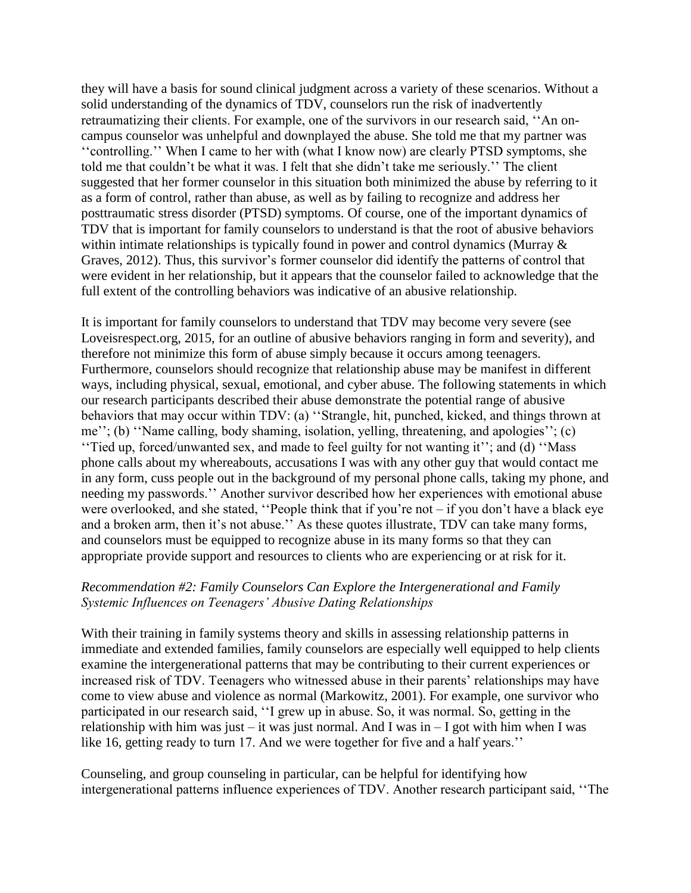they will have a basis for sound clinical judgment across a variety of these scenarios. Without a solid understanding of the dynamics of TDV, counselors run the risk of inadvertently retraumatizing their clients. For example, one of the survivors in our research said, ''An oncampus counselor was unhelpful and downplayed the abuse. She told me that my partner was ''controlling.'' When I came to her with (what I know now) are clearly PTSD symptoms, she told me that couldn't be what it was. I felt that she didn't take me seriously.'' The client suggested that her former counselor in this situation both minimized the abuse by referring to it as a form of control, rather than abuse, as well as by failing to recognize and address her posttraumatic stress disorder (PTSD) symptoms. Of course, one of the important dynamics of TDV that is important for family counselors to understand is that the root of abusive behaviors within intimate relationships is typically found in power and control dynamics (Murray  $\&$ Graves, 2012). Thus, this survivor's former counselor did identify the patterns of control that were evident in her relationship, but it appears that the counselor failed to acknowledge that the full extent of the controlling behaviors was indicative of an abusive relationship.

It is important for family counselors to understand that TDV may become very severe (see Loveisrespect.org, 2015, for an outline of abusive behaviors ranging in form and severity), and therefore not minimize this form of abuse simply because it occurs among teenagers. Furthermore, counselors should recognize that relationship abuse may be manifest in different ways, including physical, sexual, emotional, and cyber abuse. The following statements in which our research participants described their abuse demonstrate the potential range of abusive behaviors that may occur within TDV: (a) ''Strangle, hit, punched, kicked, and things thrown at me''; (b) ''Name calling, body shaming, isolation, yelling, threatening, and apologies''; (c) ''Tied up, forced/unwanted sex, and made to feel guilty for not wanting it''; and (d) ''Mass phone calls about my whereabouts, accusations I was with any other guy that would contact me in any form, cuss people out in the background of my personal phone calls, taking my phone, and needing my passwords.'' Another survivor described how her experiences with emotional abuse were overlooked, and she stated, ''People think that if you're not – if you don't have a black eye and a broken arm, then it's not abuse." As these quotes illustrate, TDV can take many forms, and counselors must be equipped to recognize abuse in its many forms so that they can appropriate provide support and resources to clients who are experiencing or at risk for it.

## *Recommendation #2: Family Counselors Can Explore the Intergenerational and Family Systemic Influences on Teenagers' Abusive Dating Relationships*

With their training in family systems theory and skills in assessing relationship patterns in immediate and extended families, family counselors are especially well equipped to help clients examine the intergenerational patterns that may be contributing to their current experiences or increased risk of TDV. Teenagers who witnessed abuse in their parents' relationships may have come to view abuse and violence as normal (Markowitz, 2001). For example, one survivor who participated in our research said, ''I grew up in abuse. So, it was normal. So, getting in the relationship with him was just – it was just normal. And I was in – I got with him when I was like 16, getting ready to turn 17. And we were together for five and a half years.''

Counseling, and group counseling in particular, can be helpful for identifying how intergenerational patterns influence experiences of TDV. Another research participant said, ''The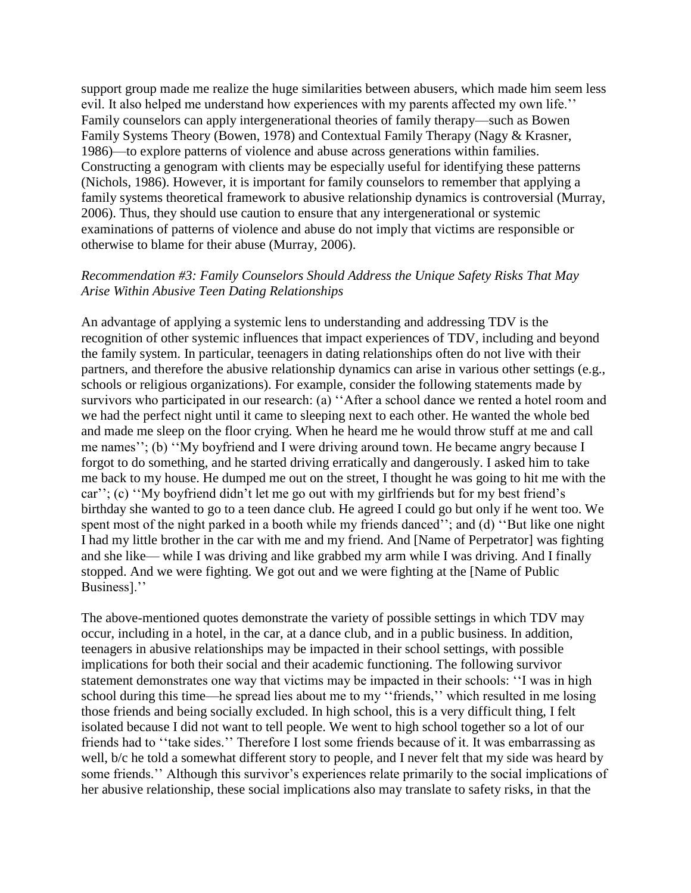support group made me realize the huge similarities between abusers, which made him seem less evil. It also helped me understand how experiences with my parents affected my own life.'' Family counselors can apply intergenerational theories of family therapy—such as Bowen Family Systems Theory (Bowen, 1978) and Contextual Family Therapy (Nagy & Krasner, 1986)—to explore patterns of violence and abuse across generations within families. Constructing a genogram with clients may be especially useful for identifying these patterns (Nichols, 1986). However, it is important for family counselors to remember that applying a family systems theoretical framework to abusive relationship dynamics is controversial (Murray, 2006). Thus, they should use caution to ensure that any intergenerational or systemic examinations of patterns of violence and abuse do not imply that victims are responsible or otherwise to blame for their abuse (Murray, 2006).

#### *Recommendation #3: Family Counselors Should Address the Unique Safety Risks That May Arise Within Abusive Teen Dating Relationships*

An advantage of applying a systemic lens to understanding and addressing TDV is the recognition of other systemic influences that impact experiences of TDV, including and beyond the family system. In particular, teenagers in dating relationships often do not live with their partners, and therefore the abusive relationship dynamics can arise in various other settings (e.g., schools or religious organizations). For example, consider the following statements made by survivors who participated in our research: (a) "After a school dance we rented a hotel room and we had the perfect night until it came to sleeping next to each other. He wanted the whole bed and made me sleep on the floor crying. When he heard me he would throw stuff at me and call me names''; (b) ''My boyfriend and I were driving around town. He became angry because I forgot to do something, and he started driving erratically and dangerously. I asked him to take me back to my house. He dumped me out on the street, I thought he was going to hit me with the car''; (c) ''My boyfriend didn't let me go out with my girlfriends but for my best friend's birthday she wanted to go to a teen dance club. He agreed I could go but only if he went too. We spent most of the night parked in a booth while my friends danced''; and (d) "But like one night I had my little brother in the car with me and my friend. And [Name of Perpetrator] was fighting and she like— while I was driving and like grabbed my arm while I was driving. And I finally stopped. And we were fighting. We got out and we were fighting at the [Name of Public Business].''

The above-mentioned quotes demonstrate the variety of possible settings in which TDV may occur, including in a hotel, in the car, at a dance club, and in a public business. In addition, teenagers in abusive relationships may be impacted in their school settings, with possible implications for both their social and their academic functioning. The following survivor statement demonstrates one way that victims may be impacted in their schools: ''I was in high school during this time—he spread lies about me to my "friends," which resulted in me losing those friends and being socially excluded. In high school, this is a very difficult thing, I felt isolated because I did not want to tell people. We went to high school together so a lot of our friends had to ''take sides.'' Therefore I lost some friends because of it. It was embarrassing as well, b/c he told a somewhat different story to people, and I never felt that my side was heard by some friends." Although this survivor's experiences relate primarily to the social implications of her abusive relationship, these social implications also may translate to safety risks, in that the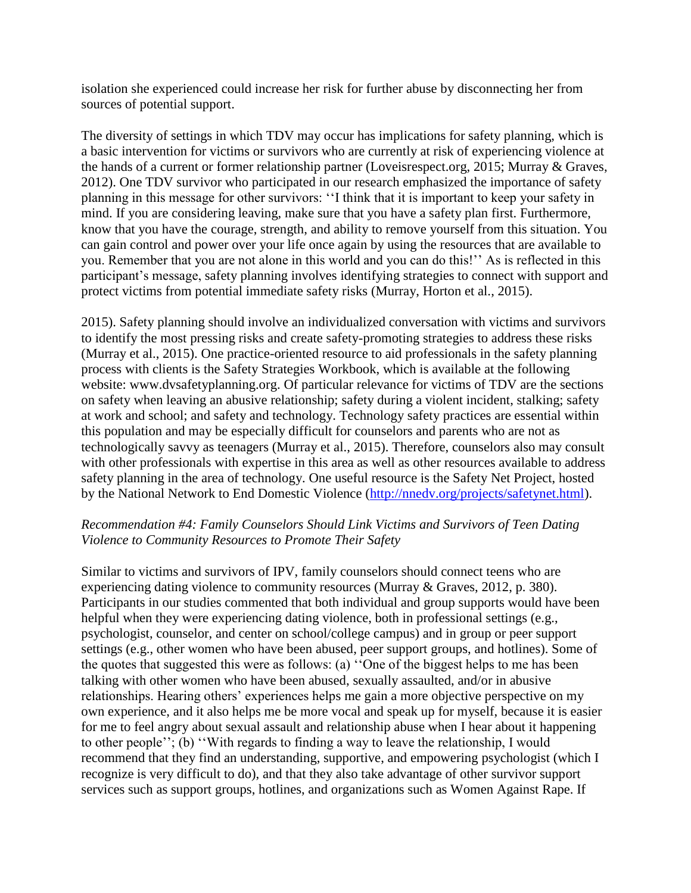isolation she experienced could increase her risk for further abuse by disconnecting her from sources of potential support.

The diversity of settings in which TDV may occur has implications for safety planning, which is a basic intervention for victims or survivors who are currently at risk of experiencing violence at the hands of a current or former relationship partner (Loveisrespect.org, 2015; Murray & Graves, 2012). One TDV survivor who participated in our research emphasized the importance of safety planning in this message for other survivors: ''I think that it is important to keep your safety in mind. If you are considering leaving, make sure that you have a safety plan first. Furthermore, know that you have the courage, strength, and ability to remove yourself from this situation. You can gain control and power over your life once again by using the resources that are available to you. Remember that you are not alone in this world and you can do this!'' As is reflected in this participant's message, safety planning involves identifying strategies to connect with support and protect victims from potential immediate safety risks (Murray, Horton et al., 2015).

2015). Safety planning should involve an individualized conversation with victims and survivors to identify the most pressing risks and create safety-promoting strategies to address these risks (Murray et al., 2015). One practice-oriented resource to aid professionals in the safety planning process with clients is the Safety Strategies Workbook, which is available at the following website: www.dvsafetyplanning.org. Of particular relevance for victims of TDV are the sections on safety when leaving an abusive relationship; safety during a violent incident, stalking; safety at work and school; and safety and technology. Technology safety practices are essential within this population and may be especially difficult for counselors and parents who are not as technologically savvy as teenagers (Murray et al., 2015). Therefore, counselors also may consult with other professionals with expertise in this area as well as other resources available to address safety planning in the area of technology. One useful resource is the Safety Net Project, hosted by the National Network to End Domestic Violence [\(http://nnedv.org/projects/safetynet.html\)](http://nnedv.org/projects/safetynet.html).

## *Recommendation #4: Family Counselors Should Link Victims and Survivors of Teen Dating Violence to Community Resources to Promote Their Safety*

Similar to victims and survivors of IPV, family counselors should connect teens who are experiencing dating violence to community resources (Murray & Graves, 2012, p. 380). Participants in our studies commented that both individual and group supports would have been helpful when they were experiencing dating violence, both in professional settings (e.g., psychologist, counselor, and center on school/college campus) and in group or peer support settings (e.g., other women who have been abused, peer support groups, and hotlines). Some of the quotes that suggested this were as follows: (a) ''One of the biggest helps to me has been talking with other women who have been abused, sexually assaulted, and/or in abusive relationships. Hearing others' experiences helps me gain a more objective perspective on my own experience, and it also helps me be more vocal and speak up for myself, because it is easier for me to feel angry about sexual assault and relationship abuse when I hear about it happening to other people''; (b) ''With regards to finding a way to leave the relationship, I would recommend that they find an understanding, supportive, and empowering psychologist (which I recognize is very difficult to do), and that they also take advantage of other survivor support services such as support groups, hotlines, and organizations such as Women Against Rape. If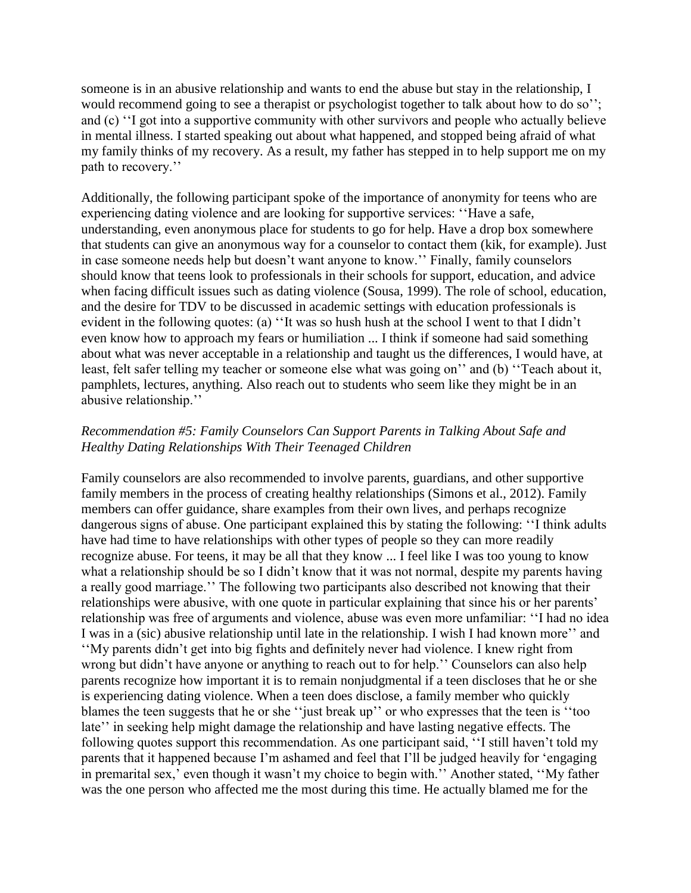someone is in an abusive relationship and wants to end the abuse but stay in the relationship, I would recommend going to see a therapist or psychologist together to talk about how to do so"; and (c) ''I got into a supportive community with other survivors and people who actually believe in mental illness. I started speaking out about what happened, and stopped being afraid of what my family thinks of my recovery. As a result, my father has stepped in to help support me on my path to recovery.''

Additionally, the following participant spoke of the importance of anonymity for teens who are experiencing dating violence and are looking for supportive services: ''Have a safe, understanding, even anonymous place for students to go for help. Have a drop box somewhere that students can give an anonymous way for a counselor to contact them (kik, for example). Just in case someone needs help but doesn't want anyone to know.'' Finally, family counselors should know that teens look to professionals in their schools for support, education, and advice when facing difficult issues such as dating violence (Sousa, 1999). The role of school, education, and the desire for TDV to be discussed in academic settings with education professionals is evident in the following quotes: (a) ''It was so hush hush at the school I went to that I didn't even know how to approach my fears or humiliation ... I think if someone had said something about what was never acceptable in a relationship and taught us the differences, I would have, at least, felt safer telling my teacher or someone else what was going on'' and (b) ''Teach about it, pamphlets, lectures, anything. Also reach out to students who seem like they might be in an abusive relationship.''

# *Recommendation #5: Family Counselors Can Support Parents in Talking About Safe and Healthy Dating Relationships With Their Teenaged Children*

Family counselors are also recommended to involve parents, guardians, and other supportive family members in the process of creating healthy relationships (Simons et al., 2012). Family members can offer guidance, share examples from their own lives, and perhaps recognize dangerous signs of abuse. One participant explained this by stating the following: ''I think adults have had time to have relationships with other types of people so they can more readily recognize abuse. For teens, it may be all that they know ... I feel like I was too young to know what a relationship should be so I didn't know that it was not normal, despite my parents having a really good marriage.'' The following two participants also described not knowing that their relationships were abusive, with one quote in particular explaining that since his or her parents' relationship was free of arguments and violence, abuse was even more unfamiliar: ''I had no idea I was in a (sic) abusive relationship until late in the relationship. I wish I had known more'' and ''My parents didn't get into big fights and definitely never had violence. I knew right from wrong but didn't have anyone or anything to reach out to for help.'' Counselors can also help parents recognize how important it is to remain nonjudgmental if a teen discloses that he or she is experiencing dating violence. When a teen does disclose, a family member who quickly blames the teen suggests that he or she ''just break up'' or who expresses that the teen is ''too late'' in seeking help might damage the relationship and have lasting negative effects. The following quotes support this recommendation. As one participant said, ''I still haven't told my parents that it happened because I'm ashamed and feel that I'll be judged heavily for 'engaging in premarital sex,' even though it wasn't my choice to begin with.'' Another stated, ''My father was the one person who affected me the most during this time. He actually blamed me for the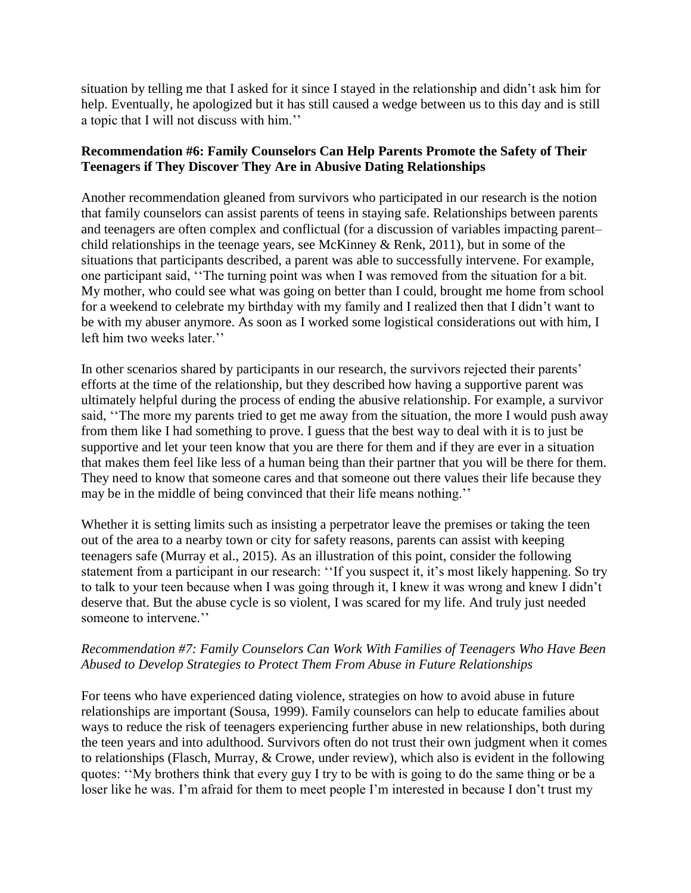situation by telling me that I asked for it since I stayed in the relationship and didn't ask him for help. Eventually, he apologized but it has still caused a wedge between us to this day and is still a topic that I will not discuss with him.''

# **Recommendation #6: Family Counselors Can Help Parents Promote the Safety of Their Teenagers if They Discover They Are in Abusive Dating Relationships**

Another recommendation gleaned from survivors who participated in our research is the notion that family counselors can assist parents of teens in staying safe. Relationships between parents and teenagers are often complex and conflictual (for a discussion of variables impacting parent– child relationships in the teenage years, see McKinney & Renk, 2011), but in some of the situations that participants described, a parent was able to successfully intervene. For example, one participant said, ''The turning point was when I was removed from the situation for a bit. My mother, who could see what was going on better than I could, brought me home from school for a weekend to celebrate my birthday with my family and I realized then that I didn't want to be with my abuser anymore. As soon as I worked some logistical considerations out with him, I left him two weeks later."

In other scenarios shared by participants in our research, the survivors rejected their parents' efforts at the time of the relationship, but they described how having a supportive parent was ultimately helpful during the process of ending the abusive relationship. For example, a survivor said, ''The more my parents tried to get me away from the situation, the more I would push away from them like I had something to prove. I guess that the best way to deal with it is to just be supportive and let your teen know that you are there for them and if they are ever in a situation that makes them feel like less of a human being than their partner that you will be there for them. They need to know that someone cares and that someone out there values their life because they may be in the middle of being convinced that their life means nothing.''

Whether it is setting limits such as insisting a perpetrator leave the premises or taking the teen out of the area to a nearby town or city for safety reasons, parents can assist with keeping teenagers safe (Murray et al., 2015). As an illustration of this point, consider the following statement from a participant in our research: ''If you suspect it, it's most likely happening. So try to talk to your teen because when I was going through it, I knew it was wrong and knew I didn't deserve that. But the abuse cycle is so violent, I was scared for my life. And truly just needed someone to intervene.''

## *Recommendation #7: Family Counselors Can Work With Families of Teenagers Who Have Been Abused to Develop Strategies to Protect Them From Abuse in Future Relationships*

For teens who have experienced dating violence, strategies on how to avoid abuse in future relationships are important (Sousa, 1999). Family counselors can help to educate families about ways to reduce the risk of teenagers experiencing further abuse in new relationships, both during the teen years and into adulthood. Survivors often do not trust their own judgment when it comes to relationships (Flasch, Murray, & Crowe, under review), which also is evident in the following quotes: ''My brothers think that every guy I try to be with is going to do the same thing or be a loser like he was. I'm afraid for them to meet people I'm interested in because I don't trust my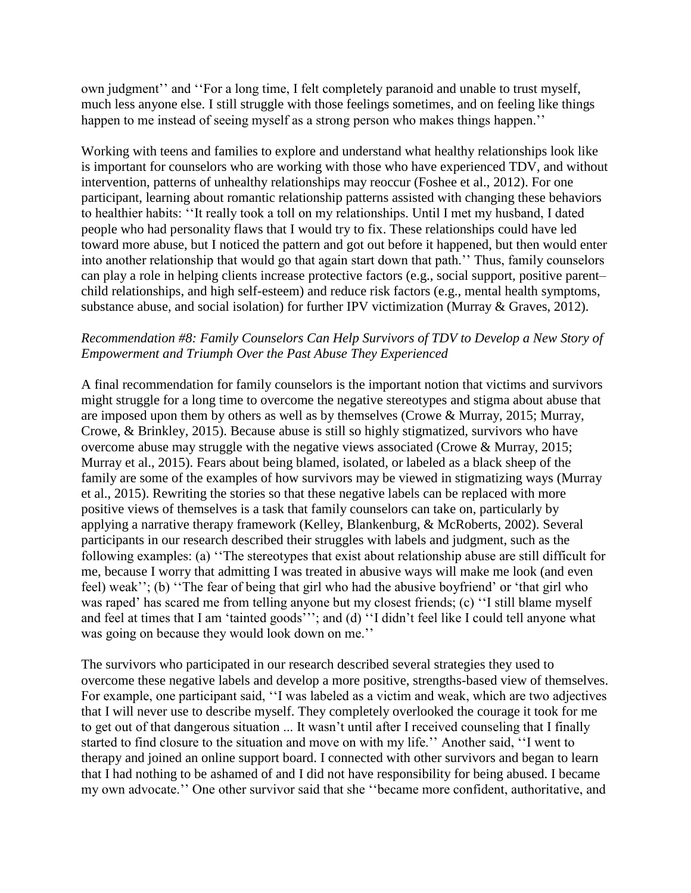own judgment'' and ''For a long time, I felt completely paranoid and unable to trust myself, much less anyone else. I still struggle with those feelings sometimes, and on feeling like things happen to me instead of seeing myself as a strong person who makes things happen."

Working with teens and families to explore and understand what healthy relationships look like is important for counselors who are working with those who have experienced TDV, and without intervention, patterns of unhealthy relationships may reoccur (Foshee et al., 2012). For one participant, learning about romantic relationship patterns assisted with changing these behaviors to healthier habits: ''It really took a toll on my relationships. Until I met my husband, I dated people who had personality flaws that I would try to fix. These relationships could have led toward more abuse, but I noticed the pattern and got out before it happened, but then would enter into another relationship that would go that again start down that path.'' Thus, family counselors can play a role in helping clients increase protective factors (e.g., social support, positive parent– child relationships, and high self-esteem) and reduce risk factors (e.g., mental health symptoms, substance abuse, and social isolation) for further IPV victimization (Murray & Graves, 2012).

#### *Recommendation #8: Family Counselors Can Help Survivors of TDV to Develop a New Story of Empowerment and Triumph Over the Past Abuse They Experienced*

A final recommendation for family counselors is the important notion that victims and survivors might struggle for a long time to overcome the negative stereotypes and stigma about abuse that are imposed upon them by others as well as by themselves (Crowe & Murray, 2015; Murray, Crowe, & Brinkley, 2015). Because abuse is still so highly stigmatized, survivors who have overcome abuse may struggle with the negative views associated (Crowe & Murray, 2015; Murray et al., 2015). Fears about being blamed, isolated, or labeled as a black sheep of the family are some of the examples of how survivors may be viewed in stigmatizing ways (Murray et al., 2015). Rewriting the stories so that these negative labels can be replaced with more positive views of themselves is a task that family counselors can take on, particularly by applying a narrative therapy framework (Kelley, Blankenburg, & McRoberts, 2002). Several participants in our research described their struggles with labels and judgment, such as the following examples: (a) ''The stereotypes that exist about relationship abuse are still difficult for me, because I worry that admitting I was treated in abusive ways will make me look (and even feel) weak''; (b) ''The fear of being that girl who had the abusive boyfriend' or 'that girl who was raped' has scared me from telling anyone but my closest friends; (c) ''I still blame myself and feel at times that I am 'tainted goods'''; and (d) ''I didn't feel like I could tell anyone what was going on because they would look down on me.''

The survivors who participated in our research described several strategies they used to overcome these negative labels and develop a more positive, strengths-based view of themselves. For example, one participant said, ''I was labeled as a victim and weak, which are two adjectives that I will never use to describe myself. They completely overlooked the courage it took for me to get out of that dangerous situation ... It wasn't until after I received counseling that I finally started to find closure to the situation and move on with my life.'' Another said, ''I went to therapy and joined an online support board. I connected with other survivors and began to learn that I had nothing to be ashamed of and I did not have responsibility for being abused. I became my own advocate.'' One other survivor said that she ''became more confident, authoritative, and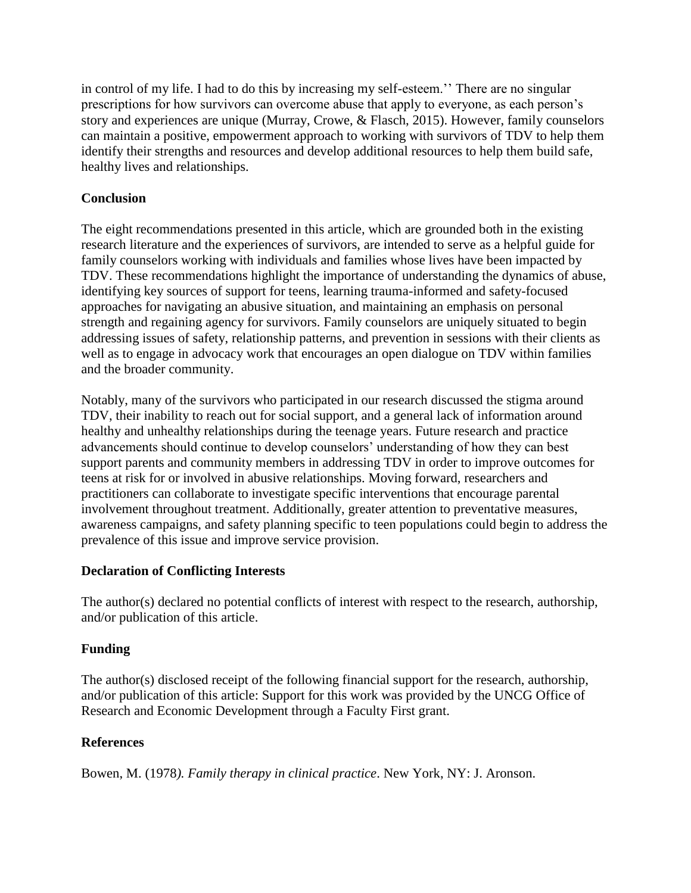in control of my life. I had to do this by increasing my self-esteem.'' There are no singular prescriptions for how survivors can overcome abuse that apply to everyone, as each person's story and experiences are unique (Murray, Crowe, & Flasch, 2015). However, family counselors can maintain a positive, empowerment approach to working with survivors of TDV to help them identify their strengths and resources and develop additional resources to help them build safe, healthy lives and relationships.

## **Conclusion**

The eight recommendations presented in this article, which are grounded both in the existing research literature and the experiences of survivors, are intended to serve as a helpful guide for family counselors working with individuals and families whose lives have been impacted by TDV. These recommendations highlight the importance of understanding the dynamics of abuse, identifying key sources of support for teens, learning trauma-informed and safety-focused approaches for navigating an abusive situation, and maintaining an emphasis on personal strength and regaining agency for survivors. Family counselors are uniquely situated to begin addressing issues of safety, relationship patterns, and prevention in sessions with their clients as well as to engage in advocacy work that encourages an open dialogue on TDV within families and the broader community.

Notably, many of the survivors who participated in our research discussed the stigma around TDV, their inability to reach out for social support, and a general lack of information around healthy and unhealthy relationships during the teenage years. Future research and practice advancements should continue to develop counselors' understanding of how they can best support parents and community members in addressing TDV in order to improve outcomes for teens at risk for or involved in abusive relationships. Moving forward, researchers and practitioners can collaborate to investigate specific interventions that encourage parental involvement throughout treatment. Additionally, greater attention to preventative measures, awareness campaigns, and safety planning specific to teen populations could begin to address the prevalence of this issue and improve service provision.

## **Declaration of Conflicting Interests**

The author(s) declared no potential conflicts of interest with respect to the research, authorship, and/or publication of this article.

# **Funding**

The author(s) disclosed receipt of the following financial support for the research, authorship, and/or publication of this article: Support for this work was provided by the UNCG Office of Research and Economic Development through a Faculty First grant.

## **References**

Bowen, M. (1978*). Family therapy in clinical practice*. New York, NY: J. Aronson.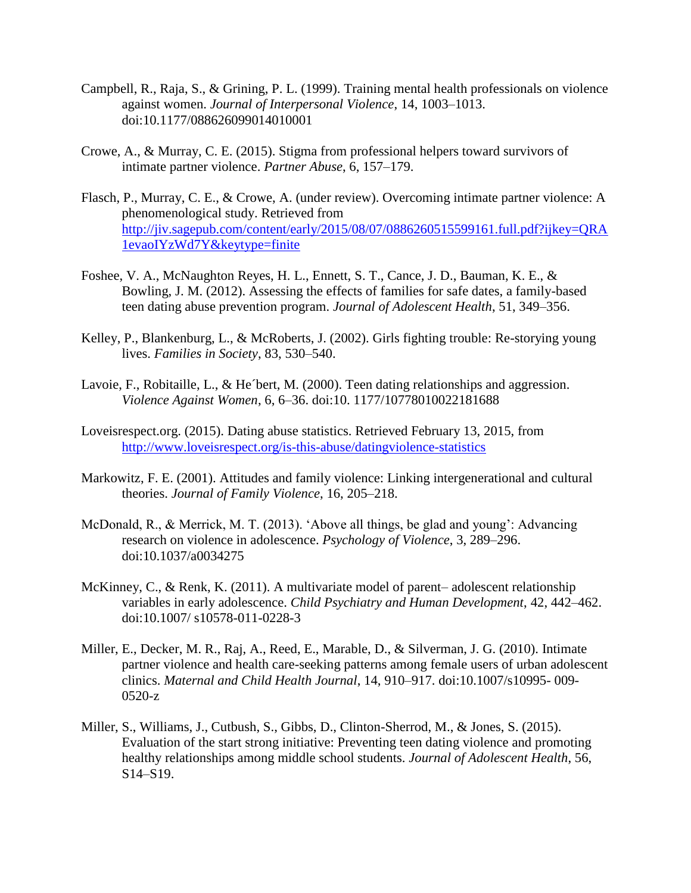- Campbell, R., Raja, S., & Grining, P. L. (1999). Training mental health professionals on violence against women. *Journal of Interpersonal Violence*, 14, 1003–1013. doi:10.1177/088626099014010001
- Crowe, A., & Murray, C. E. (2015). Stigma from professional helpers toward survivors of intimate partner violence. *Partner Abuse*, 6, 157–179.
- Flasch, P., Murray, C. E., & Crowe, A. (under review). Overcoming intimate partner violence: A phenomenological study. Retrieved from [http://jiv.sagepub.com/content/early/2015/08/07/0886260515599161.full.pdf?ijkey=QRA](http://jiv.sagepub.com/content/early/2015/08/07/0886260515599161.full.pdf?ijkey=QRA1evaoIYzWd7Y&keytype=finite) [1evaoIYzWd7Y&keytype=finite](http://jiv.sagepub.com/content/early/2015/08/07/0886260515599161.full.pdf?ijkey=QRA1evaoIYzWd7Y&keytype=finite)
- Foshee, V. A., McNaughton Reyes, H. L., Ennett, S. T., Cance, J. D., Bauman, K. E., & Bowling, J. M. (2012). Assessing the effects of families for safe dates, a family-based teen dating abuse prevention program. *Journal of Adolescent Health*, 51, 349–356.
- Kelley, P., Blankenburg, L., & McRoberts, J. (2002). Girls fighting trouble: Re-storying young lives. *Families in Society*, 83, 530–540.
- Lavoie, F., Robitaille, L., & He´bert, M. (2000). Teen dating relationships and aggression. *Violence Against Women*, 6, 6–36. doi:10. 1177/10778010022181688
- Loveisrespect.org. (2015). Dating abuse statistics. Retrieved February 13, 2015, from <http://www.loveisrespect.org/is-this-abuse/datingviolence-statistics>
- Markowitz, F. E. (2001). Attitudes and family violence: Linking intergenerational and cultural theories. *Journal of Family Violence*, 16, 205–218.
- McDonald, R., & Merrick, M. T. (2013). 'Above all things, be glad and young': Advancing research on violence in adolescence. *Psychology of Violence*, 3, 289–296. doi:10.1037/a0034275
- McKinney, C., & Renk, K. (2011). A multivariate model of parent– adolescent relationship variables in early adolescence. *Child Psychiatry and Human Development*, 42, 442–462. doi:10.1007/ s10578-011-0228-3
- Miller, E., Decker, M. R., Raj, A., Reed, E., Marable, D., & Silverman, J. G. (2010). Intimate partner violence and health care-seeking patterns among female users of urban adolescent clinics. *Maternal and Child Health Journal*, 14, 910–917. doi:10.1007/s10995- 009- 0520-z
- Miller, S., Williams, J., Cutbush, S., Gibbs, D., Clinton-Sherrod, M., & Jones, S. (2015). Evaluation of the start strong initiative: Preventing teen dating violence and promoting healthy relationships among middle school students. *Journal of Adolescent Health*, 56, S14–S19.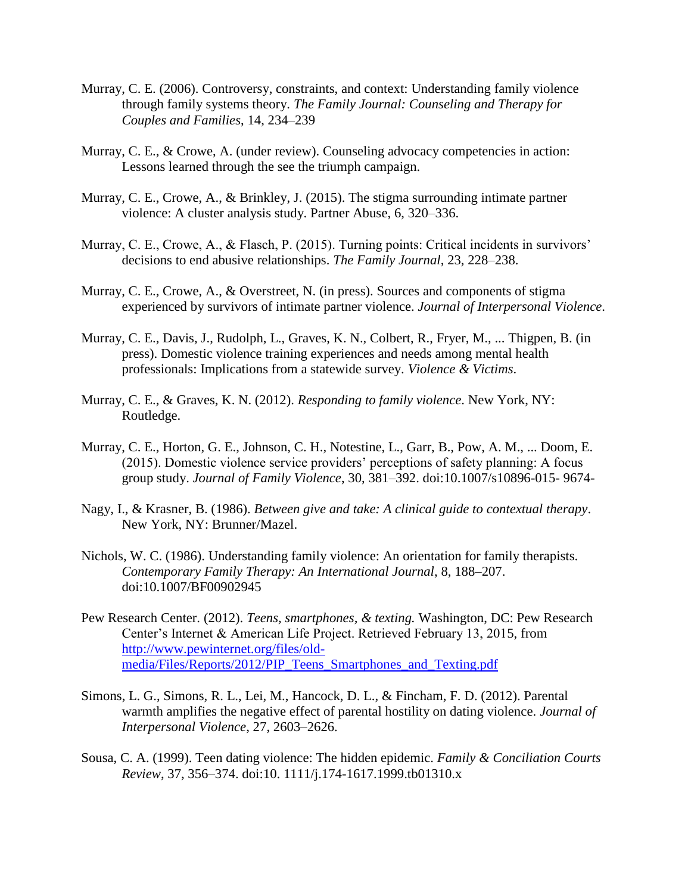- Murray, C. E. (2006). Controversy, constraints, and context: Understanding family violence through family systems theory. *The Family Journal: Counseling and Therapy for Couples and Families*, 14, 234–239
- Murray, C. E., & Crowe, A. (under review). Counseling advocacy competencies in action: Lessons learned through the see the triumph campaign.
- Murray, C. E., Crowe, A., & Brinkley, J. (2015). The stigma surrounding intimate partner violence: A cluster analysis study. Partner Abuse, 6, 320–336.
- Murray, C. E., Crowe, A., & Flasch, P. (2015). Turning points: Critical incidents in survivors' decisions to end abusive relationships. *The Family Journal*, 23, 228–238.
- Murray, C. E., Crowe, A., & Overstreet, N. (in press). Sources and components of stigma experienced by survivors of intimate partner violence. *Journal of Interpersonal Violence*.
- Murray, C. E., Davis, J., Rudolph, L., Graves, K. N., Colbert, R., Fryer, M., ... Thigpen, B. (in press). Domestic violence training experiences and needs among mental health professionals: Implications from a statewide survey. *Violence & Victims*.
- Murray, C. E., & Graves, K. N. (2012). *Responding to family violence*. New York, NY: Routledge.
- Murray, C. E., Horton, G. E., Johnson, C. H., Notestine, L., Garr, B., Pow, A. M., ... Doom, E. (2015). Domestic violence service providers' perceptions of safety planning: A focus group study. *Journal of Family Violence*, 30, 381–392. doi:10.1007/s10896-015- 9674-
- Nagy, I., & Krasner, B. (1986). *Between give and take: A clinical guide to contextual therapy*. New York, NY: Brunner/Mazel.
- Nichols, W. C. (1986). Understanding family violence: An orientation for family therapists. *Contemporary Family Therapy: An International Journal*, 8, 188–207. doi:10.1007/BF00902945
- Pew Research Center. (2012). *Teens, smartphones, & texting.* Washington, DC: Pew Research Center's Internet & American Life Project. Retrieved February 13, 2015, from [http://www.pewinternet.org/files/old](http://www.pewinternet.org/files/old-media/Files/Reports/2012/PIP_Teens_Smartphones_and_Texting.pdf)[media/Files/Reports/2012/PIP\\_Teens\\_Smartphones\\_and\\_Texting.pdf](http://www.pewinternet.org/files/old-media/Files/Reports/2012/PIP_Teens_Smartphones_and_Texting.pdf)
- Simons, L. G., Simons, R. L., Lei, M., Hancock, D. L., & Fincham, F. D. (2012). Parental warmth amplifies the negative effect of parental hostility on dating violence. *Journal of Interpersonal Violence*, 27, 2603–2626.
- Sousa, C. A. (1999). Teen dating violence: The hidden epidemic. *Family & Conciliation Courts Review*, 37, 356–374. doi:10. 1111/j.174-1617.1999.tb01310.x